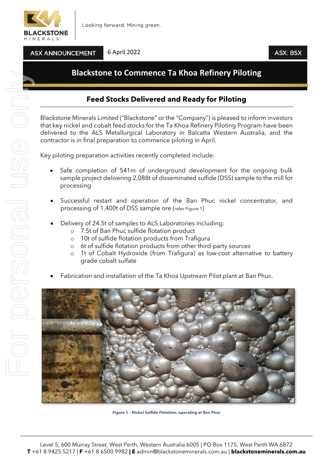

**ASX ANNOUNCEMENT** 

6 April 2022

## **ASX: BSX**

# **Blackstone to Commence Ta Khoa Refinery Piloting**

## **Feed Stocks Delivered and Ready for Piloting**

Blackstone Minerals Limited ("Blackstone" or the "Company") is pleased to inform investors that key nickel and cobalt feed stocks for the Ta Khoa Refinery Piloting Program have been delivered to the ALS Metallurgical Laboratory in Balcatta Western Australia, and the contractor is in final preparation to commence piloting in April.

Key piloting preparation activities recently completed include:

- Safe completion of 541m of underground development for the ongoing bulk sample project delivering 2,088t of disseminated sulfide (DSS) sample to the mill for processing
- Successful restart and operation of the Ban Phuc nickel concentrator, and processing of 1,400t of DSS sample ore (refer Figure 1)
- Delivery of 24.5t of samples to ALS Laboratories including:
	- o 7.5t of Ban Phuc sulfide flotation product
	- o 10t of sulfide flotation products from Trafigura
	- o 6t of sulfide flotation products from other third-party sources
	- o 1t of Cobalt Hydroxide (from Trafigura) as low-cost alternative to battery grade cobalt sulfate
	- Fabrication and installation of the Ta Khoa Upstream Pilot plant at Ban Phuc.



**Figure 1 – Nickel Sulfide Flotation, operating at Ban Phuc**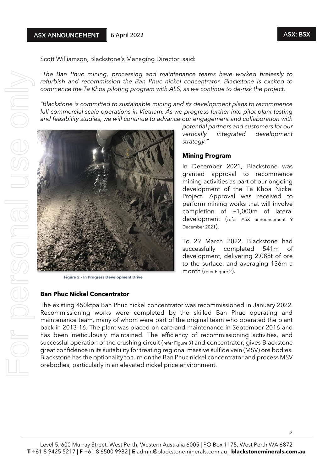Scott Williamson, Blackstone's Managing Director, said:

"*The Ban Phuc mining, processing and maintenance teams have worked tirelessly to refurbish and recommission the Ban Phuc nickel concentrator. Blackstone is excited to commence the Ta Khoa piloting program with ALS, as we continue to de-risk the project.* 

*"Blackstone is committed to sustainable mining and its development plans to recommence full commercial scale operations in Vietnam. As we progress further into pilot plant testing and feasibility studies, we will continue to advance our engagement and collaboration with* 



**Figure 2 – In Progress Development Drive**

### **Ban Phuc Nickel Concentrator**

*potential partners and customers for our vertically integrated development strategy."*

### **Mining Program**

In December 2021, Blackstone was granted approval to recommence mining activities as part of our ongoing development of the Ta Khoa Nickel Project. Approval was received to perform mining works that will involve completion of ~1,000m of lateral development (refer ASX announcement 9 December 2021).

To 29 March 2022, Blackstone had successfully completed 541m of development, delivering 2,088t of ore to the surface, and averaging 136m a month (refer Figure 2).

The existing 450ktpa Ban Phuc nickel concentrator was recommissioned in January 2022. Recommissioning works were completed by the skilled Ban Phuc operating and maintenance team, many of whom were part of the original team who operated the plant back in 2013-16. The plant was placed on care and maintenance in September 2016 and has been meticulously maintained. The efficiency of recommissioning activities, and successful operation of the crushing circuit (refer Figure 3) and concentrator, gives Blackstone great confidence in its suitability for treating regional massive sulfide vein (MSV) ore bodies. Blackstone has the optionality to turn on the Ban Phuc nickel concentrator and process MSV orebodies, particularly in an elevated nickel price environment.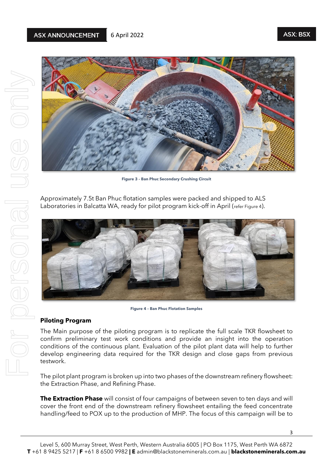

**Figure 3 – Ban Phuc Secondary Crushing Circuit**

Approximately 7.5t Ban Phuc flotation samples were packed and shipped to ALS Laboratories in Balcatta WA, ready for pilot program kick-off in April (refer Figure 4).



**Figure 4 – Ban Phuc Flotation Samples**

### **Piloting Program**

The Main purpose of the piloting program is to replicate the full scale TKR flowsheet to confirm preliminary test work conditions and provide an insight into the operation conditions of the continuous plant. Evaluation of the pilot plant data will help to further develop engineering data required for the TKR design and close gaps from previous testwork.

The pilot plant program is broken up into two phases of the downstream refinery flowsheet: the Extraction Phase, and Refining Phase.

**The Extraction Phase** will consist of four campaigns of between seven to ten days and will cover the front end of the downstream refinery flowsheet entailing the feed concentrate handling/feed to POX up to the production of MHP. The focus of this campaign will be to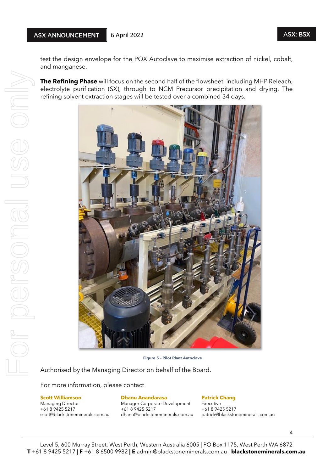test the design envelope for the POX Autoclave to maximise extraction of nickel, cobalt, and manganese.

**The Refining Phase** will focus on the second half of the flowsheet, including MHP Releach, electrolyte purification (SX), through to NCM Precursor precipitation and drying. The refining solvent extraction stages will be tested over a combined 34 days.



 **Figure 5 – Pilot Plant Autoclave**

Authorised by the Managing Director on behalf of the Board.

For more information, please contact

Managing Director Manager Corporate Development Executive<br>
+61 8 9425 5217 +61 8 9425 5217 +61 8 9425 5217

# **Scott Williamson Dhanu Anandarasa Patrick Chang**

+61 8 9425 5217 +61 8 9425 5217 +61 8 9425 5217

scott@blackstoneminerals.com.au dhanu@blackstoneminerals.com.au patrick@blackstoneminerals.com.au

4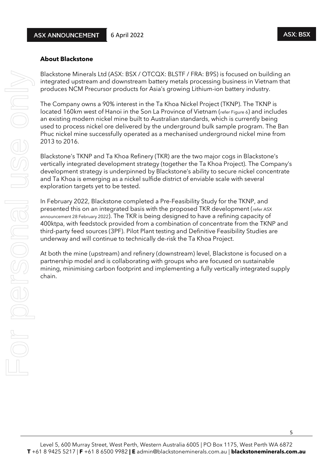### **About Blackstone**

Blackstone Minerals Ltd (ASX: BSX / OTCQX: BLSTF / FRA: B9S) is focused on building an integrated upstream and downstream battery metals processing business in Vietnam that produces NCM Precursor products for Asia's growing Lithium-ion battery industry.

The Company owns a 90% interest in the Ta Khoa Nickel Project (TKNP). The TKNP is located 160km west of Hanoi in the Son La Province of Vietnam (refer Figure 6) and includes an existing modern nickel mine built to Australian standards, which is currently being used to process nickel ore delivered by the underground bulk sample program. The Ban Phuc nickel mine successfully operated as a mechanised underground nickel mine from 2013 to 2016.

Blackstone's TKNP and Ta Khoa Refinery (TKR) are the two major cogs in Blackstone's vertically integrated development strategy (together the Ta Khoa Project). The Company's development strategy is underpinned by Blackstone's ability to secure nickel concentrate and Ta Khoa is emerging as a nickel sulfide district of enviable scale with several exploration targets yet to be tested.

In February 2022, Blackstone completed a Pre-Feasibility Study for the TKNP, and presented this on an integrated basis with the proposed TKR development (refer ASX announcement 28 February 2022). The TKR is being designed to have a refining capacity of 400ktpa, with feedstock provided from a combination of concentrate from the TKNP and third-party feed sources (3PF). Pilot Plant testing and Definitive Feasibility Studies are underway and will continue to technically de-risk the Ta Khoa Project.

At both the mine (upstream) and refinery (downstream) level, Blackstone is focused on a partnership model and is collaborating with groups who are focused on sustainable mining, minimising carbon footprint and implementing a fully vertically integrated supply chain.